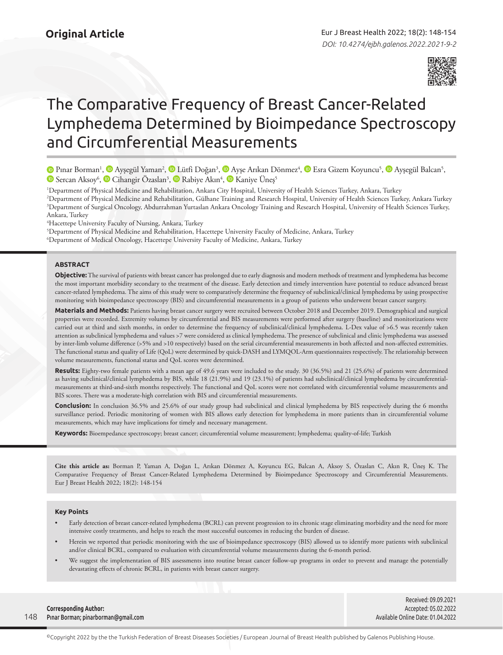

# The Comparative Frequency of Breast Cancer-Related Lymphedema Determined by Bioimpedance Spectroscopy and Circumferential Measurements

PınarBorman<sup>1</sup>, © Ayşegül Yaman<sup>2</sup>, © Lütfi Doğan<sup>3</sup>, © Ayşe Arıkan Dönmez<sup>4</sup>, © Esra Gizem Koyuncu<sup>5</sup>, © Ayşegül Balcan<sup>5</sup>, SercanAksoy<sup>6</sup>,  $\bullet$  Cihangir Özaslan<sup>3</sup>,  $\bullet$  Rabiye Akın<sup>4</sup>,  $\bullet$  Kaniye Üneş<sup>5</sup>

1 Department of Physical Medicine and Rehabilitation, Ankara City Hospital, University of Health Sciences Turkey, Ankara, Turkey

2 Department of Physical Medicine and Rehabilitation, Gülhane Training and Research Hospital, University of Health Sciences Turkey, Ankara Turkey 3 Department of Surgical Oncology, Abdurrahman Yurtaslan Ankara Oncology Training and Research Hospital, University of Health Sciences Turkey, Ankara, Turkey

4 Hacettepe University Faculty of Nursing, Ankara, Turkey

5 Department of Physical Medicine and Rehabilitation, Hacettepe University Faculty of Medicine, Ankara, Turkey

6 Department of Medical Oncology, Hacettepe University Faculty of Medicine, Ankara, Turkey

# **ABSTRACT**

**Objective:** The survival of patients with breast cancer has prolonged due to early diagnosis and modern methods of treatment and lymphedema has become the most important morbidity secondary to the treatment of the disease. Early detection and timely intervention have potential to reduce advanced breast cancer-related lymphedema. The aims of this study were to comparatively determine the frequency of subclinical/clinical lymphedema by using prospective monitoring with bioimpedance spectroscopy (BIS) and circumferential measurements in a group of patients who underwent breast cancer surgery.

**Materials and Methods:** Patients having breast cancer surgery were recruited between October 2018 and December 2019. Demographical and surgical properties were recorded. Extremity volumes by circumferential and BIS measurements were performed after surgery (baseline) and monitorizations were carried out at third and sixth months, in order to determine the frequency of subclinical/clinical lymphedema. L-Dex value of >6.5 was recently taken attention as subclinical lymphedema and values >7 were considered as clinical lymphedema. The presence of subclinical and clinic lymphedema was assessed by inter-limb volume difference (>5% and >10 respectively) based on the serial circumferential measurements in both affected and non-affected extremities. The functional status and quality of Life (QoL) were determined by quick-DASH and LYMQOL-Arm questionnaires respectively. The relationship between volume measurements, functional status and QoL scores were determined.

**Results:** Eighty-two female patients with a mean age of 49.6 years were included to the study. 30 (36.5%) and 21 (25.6%) of patients were determined as having subclinical/clinical lymphedema by BIS, while 18 (21.9%) and 19 (23.1%) of patients had subclinical/clinical lymphedema by circumferentialmeasurements at third-and-sixth months respectively. The functional and QoL scores were not correlated with circumferential volume measurements and BIS scores. There was a moderate-high correlation with BIS and circumferential measurements.

**Conclusion:** In conclusion 36.5% and 25.6% of our study group had subclinical and clinical lymphedema by BIS respectively during the 6 months surveillance period. Periodic monitoring of women with BIS allows early detection for lymphedema in more patients than in circumferential volume measurements, which may have implications for timely and necessary management.

**Keywords:** Bioempedance spectroscopy; breast cancer; circumferential volume measurement; lymphedema; quality-of-life; Turkish

**Cite this article as:** Borman P, Yaman A, Doğan L, Arıkan Dönmez A, Koyuncu EG, Balcan A, Aksoy S, Özaslan C, Akın R, Üneş K. The Comparative Frequency of Breast Cancer-Related Lymphedema Determined by Bioimpedance Spectroscopy and Circumferential Measurements. Eur J Breast Health 2022; 18(2): 148-154

## **Key Points**

- Early detection of breast cancer-related lymphedema (BCRL) can prevent progression to its chronic stage eliminating morbidity and the need for more intensive costly treatments, and helps to reach the most successful outcomes in reducing the burden of disease.
- Herein we reported that periodic monitoring with the use of bioimpedance spectroscopy (BIS) allowed us to identify more patients with subclinical and/or clinical BCRL, compared to evaluation with circumferential volume measurements during the 6-month period.
- We suggest the implementation of BIS assessments into routine breast cancer follow-up programs in order to prevent and manage the potentially devastating effects of chronic BCRL, in patients with breast cancer surgery.

148 **Corresponding Author:**  Pınar Borman; pinarborman@gmail.com

Received: 09.09.2021 Accepted: 05.02.2022 Available Online Date: 01.04.2022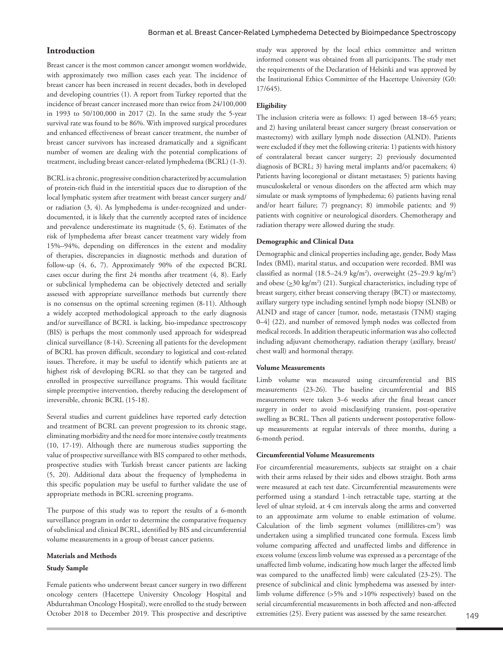# **Introduction**

Breast cancer is the most common cancer amongst women worldwide, with approximately two million cases each year. The incidence of breast cancer has been increased in recent decades, both in developed and developing countries (1). A report from Turkey reported that the incidence of breast cancer increased more than twice from 24/100,000 in 1993 to 50/100,000 in 2017 (2). In the same study the 5-year survival rate was found to be 86%. With improved surgical procedures and enhanced effectiveness of breast cancer treatment, the number of breast cancer survivors has increased dramatically and a significant number of women are dealing with the potential complications of treatment, including breast cancer-related lymphedema (BCRL) (1-3).

BCRL is a chronic, progressive condition characterized by accumulation of protein-rich fluid in the interstitial spaces due to disruption of the local lymphatic system after treatment with breast cancer surgery and/ or radiation (3, 4). As lymphedema is under-recognized and underdocumented, it is likely that the currently accepted rates of incidence and prevalence underestimate its magnitude (5, 6). Estimates of the risk of lymphedema after breast cancer treatment vary widely from 15%–94%, depending on differences in the extent and modality of therapies, discrepancies in diagnostic methods and duration of follow-up (4, 6, 7). Approximately 90% of the expected BCRL cases occur during the first 24 months after treatment (4, 8). Early or subclinical lymphedema can be objectively detected and serially assessed with appropriate surveillance methods but currently there is no consensus on the optimal screening regimen (8-11). Although a widely accepted methodological approach to the early diagnosis and/or surveillance of BCRL is lacking, bio-impedance spectroscopy (BIS) is perhaps the most commonly used approach for widespread clinical surveillance (8-14). Screening all patients for the development of BCRL has proven difficult, secondary to logistical and cost-related issues. Therefore, it may be useful to identify which patients are at highest risk of developing BCRL so that they can be targeted and enrolled in prospective surveillance programs. This would facilitate simple preemptive intervention, thereby reducing the development of irreversible, chronic BCRL (15-18).

Several studies and current guidelines have reported early detection and treatment of BCRL can prevent progression to its chronic stage, eliminating morbidity and the need for more intensive costly treatments (10, 17-19). Although there are numerous studies supporting the value of prospective surveillance with BIS compared to other methods, prospective studies with Turkish breast cancer patients are lacking (5, 20). Additional data about the frequency of lymphedema in this specific population may be useful to further validate the use of appropriate methods in BCRL screening programs.

The purpose of this study was to report the results of a 6-month surveillance program in order to determine the comparative frequency of subclinical and clinical BCRL, identified by BIS and circumferential volume measurements in a group of breast cancer patients.

#### **Materials and Methods**

#### **Study Sample**

Female patients who underwent breast cancer surgery in two different oncology centers (Hacettepe University Oncology Hospital and Abdurrahman Oncology Hospital), were enrolled to the study between October 2018 to December 2019. This prospective and descriptive study was approved by the local ethics committee and written informed consent was obtained from all participants. The study met the requirements of the Declaration of Helsinki and was approved by the Institutional Ethics Committee of the Hacettepe University (G0: 17/645).

## **Eligibility**

The inclusion criteria were as follows: 1) aged between 18–65 years; and 2) having unilateral breast cancer surgery (breast conservation or mastectomy) with axillary lymph node dissection (ALND). Patients were excluded if they met the following criteria: 1) patients with history of contralateral breast cancer surgery; 2) previously documented diagnosis of BCRL; 3) having metal implants and/or pacemakers; 4) Patients having locoregional or distant metastases; 5) patients having musculoskeletal or venous disorders on the affected arm which may simulate or mask symptoms of lymphedema; 6) patients having renal and/or heart failure; 7) pregnancy; 8) immobile patients; and 9) patients with cognitive or neurological disorders. Chemotherapy and radiation therapy were allowed during the study.

## **Demographic and Clinical Data**

Demographic and clinical properties including age, gender, Body Mass Index (BMI), marital status, and occupation were recorded. BMI was classified as normal  $(18.5-24.9 \text{ kg/m}^2)$ , overweight  $(25-29.9 \text{ kg/m}^2)$ and obese  $(\geq 30 \text{ kg/m}^2)$  (21). Surgical characteristics, including type of breast surgery, either breast conserving therapy (BCT) or mastectomy, axillary surgery type including sentinel lymph node biopsy (SLNB) or ALND and stage of cancer [tumor, node, metastasis (TNM) staging 0–4] (22), and number of removed lymph nodes was collected from medical records. In addition therapeutic information was also collected including adjuvant chemotherapy, radiation therapy (axillary, breast/ chest wall) and hormonal therapy.

#### **Volume Measurements**

Limb volume was measured using circumferential and BIS measurements (23-26). The baseline circumferential and BIS measurements were taken 3–6 weeks after the final breast cancer surgery in order to avoid misclassifying transient, post-operative swelling as BCRL. Then all patients underwent postoperative followup measurements at regular intervals of three months, during a 6-month period.

# **Circumferential Volume Measurements**

For circumferential measurements, subjects sat straight on a chair with their arms relaxed by their sides and elbows straight. Both arms were measured at each test date. Circumferential measurements were performed using a standard 1-inch retractable tape, starting at the level of ulnar styloid, at 4 cm intervals along the arms and converted to an approximate arm volume to enable estimation of volume. Calculation of the limb segment volumes (millilitres-cm<sup>3</sup>) was undertaken using a simplified truncated cone formula. Excess limb volume comparing affected and unaffected limbs and difference in excess volume (excess limb volume was expressed as a percentage of the unaffected limb volume, indicating how much larger the affected limb was compared to the unaffected limb) were calculated (23-25). The presence of subclinical and clinic lymphedema was assessed by interlimb volume difference (>5% and >10% respectively) based on the serial circumferential measurements in both affected and non-affected extremities (25). Every patient was assessed by the same researcher.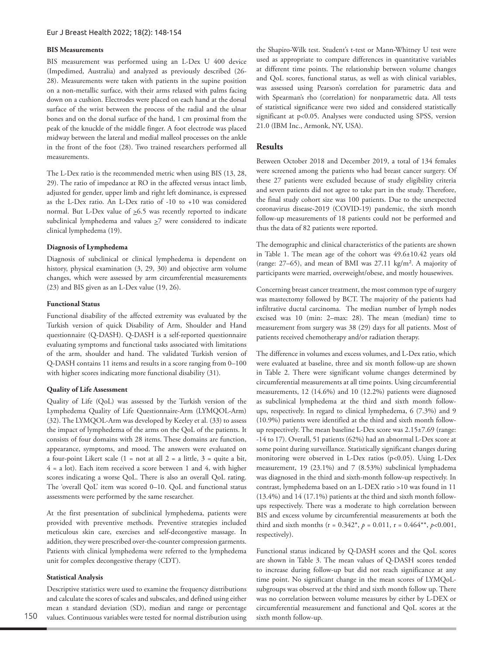#### **BIS Measurements**

BIS measurement was performed using an L-Dex U 400 device (Impedimed, Australia) and analyzed as previously described (26- 28). Measurements were taken with patients in the supine position on a non-metallic surface, with their arms relaxed with palms facing down on a cushion. Electrodes were placed on each hand at the dorsal surface of the wrist between the process of the radial and the ulnar bones and on the dorsal surface of the hand, 1 cm proximal from the peak of the knuckle of the middle finger. A foot electrode was placed midway between the lateral and medial malleol processes on the ankle in the front of the foot (28). Two trained researchers performed all measurements.

The L-Dex ratio is the recommended metric when using BIS (13, 28, 29). The ratio of impedance at RO in the affected versus intact limb, adjusted for gender, upper limb and right left dominance, is expressed as the L-Dex ratio. An L-Dex ratio of -10 to +10 was considered normal. But L-Dex value of  $\geq 6.5$  was recently reported to indicate subclinical lymphedema and values  $\geq$ 7 were considered to indicate clinical lymphedema (19).

#### **Diagnosis of Lymphedema**

Diagnosis of subclinical or clinical lymphedema is dependent on history, physical examination (3, 29, 30) and objective arm volume changes, which were assessed by arm circumferential measurements (23) and BIS given as an L-Dex value (19, 26).

## **Functional Status**

Functional disability of the affected extremity was evaluated by the Turkish version of quick Disability of Arm, Shoulder and Hand questionnaire (Q-DASH). Q-DASH is a self-reported questionnaire evaluating symptoms and functional tasks associated with limitations of the arm, shoulder and hand. The validated Turkish version of Q-DASH contains 11 items and results in a score ranging from 0–100 with higher scores indicating more functional disability (31).

## **Quality of Life Assessment**

Quality of Life (QoL) was assessed by the Turkish version of the Lymphedema Quality of Life Questionnaire-Arm (LYMQOL-Arm) (32). The LYMQOL-Arm was developed by Keeley et al. (33) to assess the impact of lymphedema of the arms on the QoL of the patients. It consists of four domains with 28 items. These domains are function, appearance, symptoms, and mood. The answers were evaluated on a four-point Likert scale  $(1 = not at all 2 = a little, 3 = quite a bit,$ 4 = a lot). Each item received a score between 1 and 4, with higher scores indicating a worse QoL. There is also an overall QoL rating. The 'overall QoL' item was scored 0–10. QoL and functional status assessments were performed by the same researcher.

At the first presentation of subclinical lymphedema, patients were provided with preventive methods. Preventive strategies included meticulous skin care, exercises and self-decongestive massage. In addition, they were prescribed over-the-counter compression garments. Patients with clinical lymphedema were referred to the lymphedema unit for complex decongestive therapy (CDT).

#### **Statistical Analysis**

Descriptive statistics were used to examine the frequency distributions and calculate the scores of scales and subscales, and defined using either mean ± standard deviation (SD), median and range or percentage values. Continuous variables were tested for normal distribution using the Shapiro-Wilk test. Student's t-test or Mann-Whitney U test were used as appropriate to compare differences in quantitative variables at different time points. The relationship between volume changes and QoL scores, functional status, as well as with clinical variables, was assessed using Pearson's correlation for parametric data and with Spearman's rho (correlation) for nonparametric data. All tests of statistical significance were two sided and considered statistically significant at p<0.05. Analyses were conducted using SPSS, version 21.0 (IBM Inc., Armonk, NY, USA).

### **Results**

Between October 2018 and December 2019, a total of 134 females were screened among the patients who had breast cancer surgery. Of these 27 patients were excluded because of study eligibility criteria and seven patients did not agree to take part in the study. Therefore, the final study cohort size was 100 patients. Due to the unexpected coronavirus disease-2019 (COVID-19) pandemic, the sixth month follow-up measurements of 18 patients could not be performed and thus the data of 82 patients were reported.

The demographic and clinical characteristics of the patients are shown in Table 1. The mean age of the cohort was 49.6±10.42 years old (range: 27–65), and mean of BMI was 27.11 kg/m². A majority of participants were married, overweight/obese, and mostly housewives.

Concerning breast cancer treatment, the most common type of surgery was mastectomy followed by BCT. The majority of the patients had infiltrative ductal carcinoma. The median number of lymph nodes excised was 10 (min: 2–max: 28). The mean (median) time to measurement from surgery was 38 (29) days for all patients. Most of patients received chemotherapy and/or radiation therapy.

The difference in volumes and excess volumes, and L-Dex ratio, which were evaluated at baseline, three and six month follow-up are shown in Table 2. There were significant volume changes determined by circumferential measurements at all time points. Using circumferential measurements, 12 (14.6%) and 10 (12.2%) patients were diagnosed as subclinical lymphedema at the third and sixth month followups, respectively. In regard to clinical lymphedema, 6 (7.3%) and 9 (10.9%) patients were identified at the third and sixth month followup respectively. The mean baseline L-Dex score was 2.15±7.69 (range: -14 to 17). Overall, 51 patients (62%) had an abnormal L-Dex score at some point during surveillance. Statistically significant changes during monitoring were observed in L-Dex ratios (p<0.05). Using L-Dex measurement, 19 (23.1%) and 7 (8.53%) subclinical lymphadema was diagnosed in the third and sixth-month follow-up respectively. In contrast, lymphedema based on an L-DEX ratio >10 was found in 11 (13.4%) and 14 (17.1%) patients at the third and sixth month followups respectively. There was a moderate to high correlation between BIS and excess volume by circumferential measurements at both the third and sixth months ( $r = 0.342^*$ ,  $p = 0.011$ ,  $r = 0.464^{**}$ ,  $p < 0.001$ , respectively).

Functional status indicated by Q-DASH scores and the QoL scores are shown in Table 3. The mean values of Q-DASH scores tended to increase during follow-up but did not reach significance at any time point. No significant change in the mean scores of LYMQoLsubgroups was observed at the third and sixth month follow up. There was no correlation between volume measures by either by L-DEX or circumferential measurement and functional and QoL scores at the sixth month follow-up.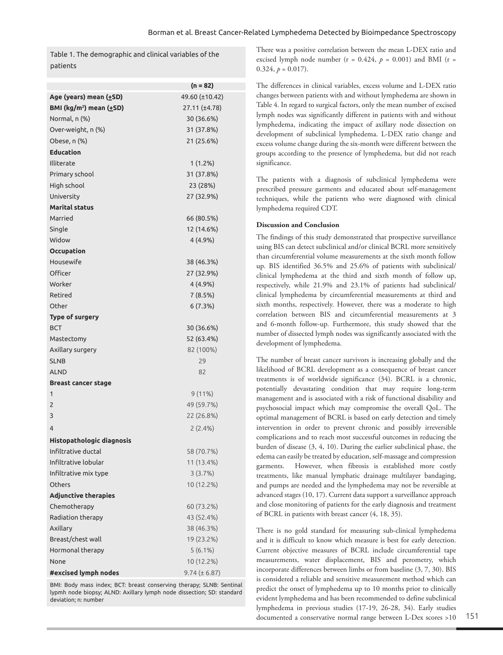Table 1. The demographic and clinical variables of the patients

|                                     | $(n = 82)$        |
|-------------------------------------|-------------------|
| Age (years) mean (+SD)              | 49.60 (±10.42)    |
| BMI (kg/m <sup>2</sup> ) mean (+SD) | 27.11 (±4.78)     |
| Normal, n (%)                       | 30 (36.6%)        |
| Over-weight, n (%)                  | 31 (37.8%)        |
| Obese, n (%)                        | 21 (25.6%)        |
| <b>Education</b>                    |                   |
| Illiterate                          | $1(1.2\%)$        |
| Primary school                      | 31 (37.8%)        |
| High school                         | 23 (28%)          |
| University                          | 27 (32.9%)        |
| <b>Marital status</b>               |                   |
| Married                             | 66 (80.5%)        |
| Single                              | 12 (14.6%)        |
| Widow                               | 4 (4.9%)          |
| <b>Occupation</b>                   |                   |
| Housewife                           | 38 (46.3%)        |
| Officer                             | 27 (32.9%)        |
| Worker                              | 4 (4.9%)          |
| Retired                             | 7 (8.5%)          |
| Other                               | 6 (7.3%)          |
| Type of surgery                     |                   |
| <b>BCT</b>                          | 30 (36.6%)        |
| Mastectomy                          | 52 (63.4%)        |
| Axillary surgery                    | 82 (100%)         |
| SLNB                                | 29                |
| <b>ALND</b>                         | 82                |
| <b>Breast cancer stage</b>          |                   |
| 1                                   | 9(11%)            |
| $\overline{2}$                      | 49 (59.7%)        |
| 3                                   | 22 (26.8%)        |
| 4                                   | 2(2.4%)           |
| <b>Histopathologic diagnosis</b>    |                   |
| Infiltrative ductal                 | 58 (70.7%)        |
| Infiltrative lobular                | 11 (13.4%)        |
| Infiltrative mix type               | 3(3.7%)           |
| Others                              | 10 (12.2%)        |
| <b>Adjunctive therapies</b>         |                   |
| Chemotherapy                        | 60 (73.2%)        |
| Radiation therapy                   | 43 (52.4%)        |
| Axillary                            | 38 (46.3%)        |
| Breast/chest wall                   | 19 (23.2%)        |
| Hormonal therapy                    | $5(6.1\%)$        |
| None                                | 10 (12.2%)        |
| #excised lymph nodes                | $9.74 (\pm 6.87)$ |
|                                     |                   |

BMI: Body mass index; BCT: breast conserving therapy; SLNB: Sentinal lypmh node biopsy; ALND: Axillary lymph node dissection; SD: standard deviation; n: number

There was a positive correlation between the mean L-DEX ratio and excised lymph node number ( $r = 0.424$ ,  $p = 0.001$ ) and BMI ( $r =$  $0.324, p = 0.017$ .

The differences in clinical variables, excess volume and L-DEX ratio changes between patients with and without lymphedema are shown in Table 4. In regard to surgical factors, only the mean number of excised lymph nodes was significantly different in patients with and without lymphedema, indicating the impact of axillary node dissection on development of subclinical lymphedema. L-DEX ratio change and excess volume change during the six-month were different between the groups according to the presence of lymphedema, but did not reach significance.

The patients with a diagnosis of subclinical lymphedema were prescribed pressure garments and educated about self-management techniques, while the patients who were diagnosed with clinical lymphedema required CDT.

### **Discussion and Conclusion**

The findings of this study demonstrated that prospective surveillance using BIS can detect subclinical and/or clinical BCRL more sensitively than circumferential volume measurements at the sixth month follow up. BIS identified 36.5% and 25.6% of patients with subclinical/ clinical lymphedema at the third and sixth month of follow up, respectively, while 21.9% and 23.1% of patients had subclinical/ clinical lymphedema by circumferential measurements at third and sixth months, respectively. However, there was a moderate to high correlation between BIS and circumferential measurements at 3 and 6-month follow-up. Furthermore, this study showed that the number of dissected lymph nodes was significantly associated with the development of lymphedema.

The number of breast cancer survivors is increasing globally and the likelihood of BCRL development as a consequence of breast cancer treatments is of worldwide significance (34). BCRL is a chronic, potentially devastating condition that may require long-term management and is associated with a risk of functional disability and psychosocial impact which may compromise the overall QoL. The optimal management of BCRL is based on early detection and timely intervention in order to prevent chronic and possibly irreversible complications and to reach most successful outcomes in reducing the burden of disease (3, 4, 10). During the earlier subclinical phase, the edema can easily be treated by education, self-massage and compression garments. However, when fibrosis is established more costly treatments, like manual lymphatic drainage multilayer bandaging, and pumps are needed and the lymphedema may not be reversible at advanced stages (10, 17). Current data support a surveillance approach and close monitoring of patients for the early diagnosis and treatment of BCRL in patients with breast cancer (4, 18, 35).

There is no gold standard for measuring sub-clinical lymphedema and it is difficult to know which measure is best for early detection. Current objective measures of BCRL include circumferential tape measurements, water displacement, BIS and perometry, which incorporate differences between limbs or from baseline (3, 7, 30). BIS is considered a reliable and sensitive measurement method which can predict the onset of lymphedema up to 10 months prior to clinically evident lymphedema and has been recommended to define subclinical lymphedema in previous studies (17-19, 26-28, 34). Early studies documented a conservative normal range between L-Dex scores >10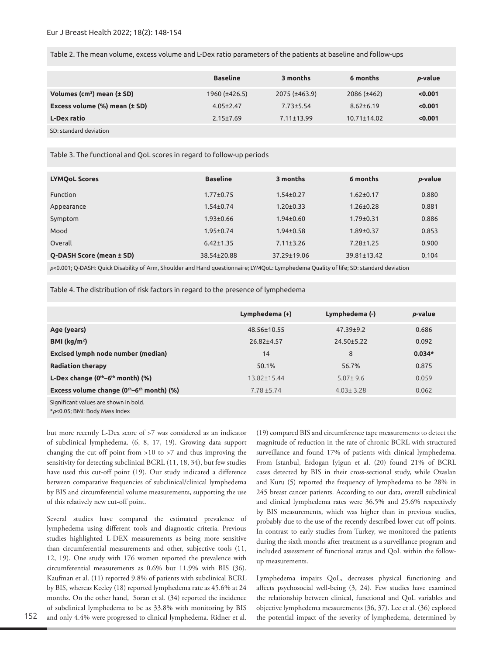Table 2. The mean volume, excess volume and L-Dex ratio parameters of the patients at baseline and follow-ups

|                                        | <b>Baseline</b> | 3 months           | 6 months          | p-value |
|----------------------------------------|-----------------|--------------------|-------------------|---------|
| Volumes (cm <sup>3</sup> ) mean (± SD) | 1960 (±426.5)   | $2075 (\pm 463.9)$ | $2086 (\pm 462)$  | < 0.001 |
| Excess volume (%) mean (± SD)          | $4.05 \pm 2.47$ | $7.73 \pm 5.54$    | $8.62 \pm 6.19$   | < 0.001 |
| <b>L-Dex ratio</b>                     | $2.15 \pm 7.69$ | $7.11 + 13.99$     | $10.71 \pm 14.02$ | < 0.001 |
| SD: standard deviation                 |                 |                    |                   |         |

### Table 3. The functional and QoL scores in regard to follow-up periods

| <b>LYMOoL Scores</b>     | <b>Baseline</b> | 3 months        | 6 months        | p-value |
|--------------------------|-----------------|-----------------|-----------------|---------|
| <b>Function</b>          | $1.77 + 0.75$   | $1.54 \pm 0.27$ | $1.62 \pm 0.17$ | 0.880   |
| Appearance               | $1.54 \pm 0.74$ | $1.20 + 0.33$   | $1.26 \pm 0.28$ | 0.881   |
| Symptom                  | $1.93 \pm 0.66$ | $1.94 \pm 0.60$ | $1.79 \pm 0.31$ | 0.886   |
| Mood                     | $1.95 \pm 0.74$ | $1.94 \pm 0.58$ | $1.89 \pm 0.37$ | 0.853   |
| Overall                  | $6.42 \pm 1.35$ | $7.11 \pm 3.26$ | $7.28 \pm 1.25$ | 0.900   |
| Q-DASH Score (mean ± SD) | 38.54±20.88     | 37.29±19.06     | 39.81±13.42     | 0.104   |

*p*<0.001; Q-DASH: Quick Disability of Arm, Shoulder and Hand questionnaire; LYMQoL: Lymphedema Quality of life; SD: standard deviation

Table 4. The distribution of risk factors in regard to the presence of lymphedema

|                                              | Lymphedema (+)    | Lymphedema (-)  | p-value  |
|----------------------------------------------|-------------------|-----------------|----------|
| Age (years)                                  | 48.56±10.55       | $47.39 \pm 9.2$ | 0.686    |
| BMI ( $\text{kg/m}^2$ )                      | 26.82±4.57        | 24.50±5.22      | 0.092    |
| Excised lymph node number (median)           | 14                | 8               | $0.034*$ |
| <b>Radiation therapy</b>                     | 50.1%             | 56.7%           | 0.875    |
| L-Dex change (0th-6th month) (%)             | $13.82 \pm 15.44$ | $5.07 \pm 9.6$  | 0.059    |
| Excess volume change $(0th-6th$ month) $(%)$ | $7.78 + 5.74$     | $4.03 \pm 3.28$ | 0.062    |
| Significant values are shown in bold.        |                   |                 |          |

<sup>\*</sup>*p*<0.05; BMI: Body Mass Index

but more recently L-Dex score of >7 was considered as an indicator of subclinical lymphedema. (6, 8, 17, 19). Growing data support changing the cut-off point from >10 to >7 and thus improving the sensitivity for detecting subclinical BCRL (11, 18, 34), but few studies have used this cut-off point (19). Our study indicated a difference between comparative frequencies of subclinical/clinical lymphedema by BIS and circumferential volume measurements, supporting the use of this relatively new cut-off point.

Several studies have compared the estimated prevalence of lymphedema using different tools and diagnostic criteria. Previous studies highlighted L-DEX measurements as being more sensitive than circumferential measurements and other, subjective tools (11, 12, 19). One study with 176 women reported the prevalence with circumferential measurements as 0.6% but 11.9% with BIS (36). Kaufman et al. (11) reported 9.8% of patients with subclinical BCRL by BIS, whereas Keeley (18) reported lymphedema rate as 45.6% at 24 months. On the other hand, Soran et al. (34) reported the incidence of subclinical lymphedema to be as 33.8% with monitoring by BIS and only 4.4% were progressed to clinical lymphedema. Ridner et al.

(19) compared BIS and circumference tape measurements to detect the magnitude of reduction in the rate of chronic BCRL with structured surveillance and found 17% of patients with clinical lymphedema. From Istanbul, Erdogan Iyigun et al. (20) found 21% of BCRL cases detected by BIS in their cross-sectional study, while Ozaslan and Kuru (5) reported the frequency of lymphedema to be 28% in 245 breast cancer patients. According to our data, overall subclinical and clinical lymphedema rates were 36.5% and 25.6% respectively by BIS measurements, which was higher than in previous studies, probably due to the use of the recently described lower cut-off points. In contrast to early studies from Turkey, we monitored the patients during the sixth months after treatment as a surveillance program and included assessment of functional status and QoL within the followup measurements.

Lymphedema impairs QoL, decreases physical functioning and affects psychosocial well-being (3, 24). Few studies have examined the relationship between clinical, functional and QoL variables and objective lymphedema measurements (36, 37). Lee et al. (36) explored the potential impact of the severity of lymphedema, determined by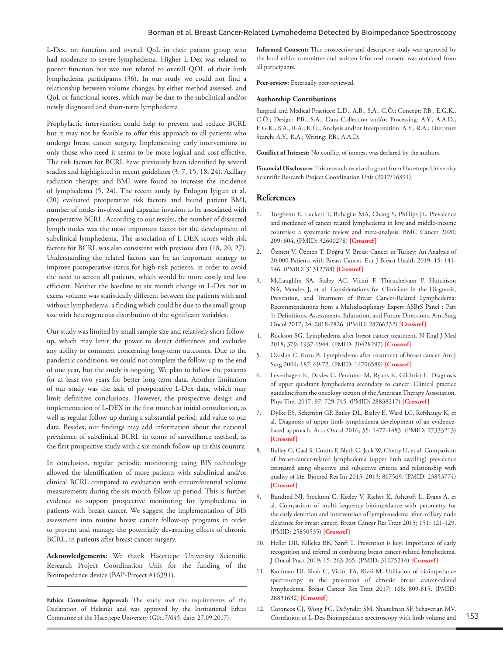L-Dex, on function and overall QoL in their patient group who had moderate to severe lymphedema. Higher L-Dex was related to poorer function but was not related to overall QOL of their limb lymphedema participants (36). In our study we could not find a relationship between volume changes, by either method assessed, and QoL or functional scores, which may be due to the subclinical and/or newly diagnosed and short-term lymphedema.

Prophylactic intervention could help to prevent and reduce BCRL but it may not be feasible to offer this approach to all patients who undergo breast cancer surgery. Implementing early interventions to only those who need it seems to be more logical and cost-effective. The risk factors for BCRL have previously been identified by several studies and highlighted in recent guidelines (3, 7, 15, 18, 24). Axillary radiation therapy, and BMI were found to increase the incidence of lymphedema (5, 24). The recent study by Erdogan Iyigun et al. (20) evaluated preoperative risk factors and found patient BMI, number of nodes involved and capsular invasion to be associated with preoperative BCRL. According to our results, the number of dissected lymph nodes was the most important factor for the development of subclinical lymphedema. The association of L-DEX scores with risk factors for BCRL was also consistent with previous data (18, 20, 27). Understanding the related factors can be an important strategy to improve postoperative status for high-risk patients, in order to avoid the need to screen all patients, which would be more costly and less efficient. Neither the baseline to six month change in L-Dex nor in excess volume was statistically different between the patients with and without lymphedema, a finding which could be due to the small group size with heterogeneous distribution of the significant variables.

Our study was limited by small sample size and relatively short followup, which may limit the power to detect differences and excludes any ability to comment concerning long-term outcomes. Due to the pandemic conditions, we could not complete the follow-up to the end of one year, but the study is ongoing. We plan to follow the patients for at least two years for better long-term data. Another limitation of our study was the lack of preoperative L-Dex data, which may limit definitive conclusions. However, the prospective design and implementation of L-DEX in the first month at initial consultation, as well as regular follow-up during a substantial period, add value to our data. Besides, our findings may add information about the national prevalence of subclinical BCRL in terms of surveillance method, as the first prospective study with a six month follow-up in this country.

In conclusion, regular periodic monitoring using BIS technology allowed the identification of more patients with subclinical and/or clinical BCRL compared to evaluation with circumferential volume measurements during the six month follow up period. This is further evidence to support prospective monitoring for lymphedema in patients with breast cancer. We suggest the implementation of BIS assessment into routine breast cancer follow-up programs in order to prevent and manage the potentially devastating effects of chronic BCRL, in patients after breast cancer surgery.

**Acknowledgements:** We thank Hacettepe University Scientific Research Project Coordination Unit for the funding of the Bioimpedance device (BAP-Project #16391).

**Ethics Committee Approval:** The study met the requirements of the Declaration of Helsinki and was approved by the Institutional Ethics Committee of the Hacettepe University (G0:17/645, date: 27.09.2017).

**Informed Consent:** This prospective and descriptive study was approved by the local ethics committee and written informed consent was obtained from all participants.

**Peer-review:** Externally peer-reviewed.

#### **Authorship Contributions**

Surgical and Medical Practices: L.D., A.B., S.A., C.Ö.; Concept: P.B., E.G.K., C.Ö.; Design: P.B., S.A.; Data Collection and/or Processing: A.Y., A.A.D., E.G.K., S.A., R.A., K.Ü.; Analysis and/or Interpretation: A.Y., R.A.; Literature Search: A.Y., R.A.; Writing: P.B., A.A.D.

**Conflict of Interest:** No conflict of interest was declared by the authors.

**Financial Disclosure:** This research received a grant from Hacettepe University Scientific Research Project Coordination Unit (2017/16391).

### **References**

- 1. Torgbenu E, Luckett T, Buhagiar MA, Chang S, Phillips JL. Prevalence and incidence of cancer related lymphedema in low and middle-income countries: a systematic review and meta-analysis. BMC Cancer 2020; 209: 604. (PMID: 32600278) **[[Crossref\]](https://doi.org/10.1186/s12885-020-07079-7)**
- 2. Özmen V, Özmen T, Doğru V. Breast Cancer in Turkey; An Analysis of 20.000 Patients with Breast Cancer. Eur J Breast Health 2019; 15: 141- 146. (PMID: 31312788) **[\[Crossref](https://doi.org/10.5152/ejbh.2019.4890)]**
- 3. McLaughlin SA, Staley AC, Vicini F, Thiruchelvam P, Hutchison NA, Mendez J, et al. Considerations for Clinicians in the Diagnosis, Prevention, and Treatment of Breast Cancer-Related Lymphedema: Recommendations from a Multidisciplinary Expert ASBrS Panel : Part 1: Definitions, Assessments, Education, and Future Directions. Ann Surg Oncol 2017; 24: 2818-2826. (PMID: 28766232) **[\[Crossref](https://doi.org/10.1245/s10434-017-5982-4)]**
- 4. Rockson SG. Lymphedema after breast cancer treatment. N Engl J Med 2018; 379: 1937-1944. (PMID: 30428297) **[[Crossref](https://doi.org/10.1056/NEJMcp1803290)]**
- 5. Ozaslan C, Kuru B. Lymphedema after treatment of breast cancer. Am J Surg 2004; 187: 69-72. (PMID: 14706589) **[\[Crossref\]](https://doi.org/10.1016/j.amjsurg.2002.12.003)**
- 6. Levenhagen K, Davies C, Perdomo M, Ryans K, Gilchrist L. Diagnosis of upper quadrant lymphedema secondary to cancer: Clinical practice guideline from the oncology section of the American Therapy Association. Phys Ther 2017; 97: 729-745. (PMID: 28838217) **[\[Crossref\]](https://doi.org/10.1093/ptj/pzx050)**
- 7. Dylke ES, Schembri GP, Bailey DL, Bailey E, Ward LC, Refshauge K, et al. Diagnosis of upper limb lymphedema development of an evidencebased approach. Acta Oncol 2016; 55: 1477-1483. (PMID: 27333213) **[[Crossref\]](https://doi.org/10.1080/0284186X.2016.1191668)**
- 8. Bulley C, Gaal S, Coutts F, Blyth C, Jack W, Chetty U, et al. Comparison of breast-cancer-related lymphedema (upper limb swelling) prevalence estimated using objective and subjective criteria and relationship with quality of life. Biomed Res Int 2013; 2013: 807569. (PMID: 23853774) **[[Crossref\]](https://doi.org/10.1155/2013/807569)**
- 9. Bundred NJ, Stockton C, Keeley V, Riches K, Ashcroft L, Evans A, et al. Compasiron of multi-frequency bioimpedance with perometry for the early detection and intervention of lympheoedema after axillary node clearance for breast cancer. Breast Cancer Res Treat 2015; 151: 121-129. (PMID: 25850535) **[\[Crossref\]](https://doi.org/10.1007/s10549-015-3357-8)**
- 10. Heller DR, Killelea BK, Sanft T. Prevention is key: Importance of early recognition and referral in combating breast cancer-related lymphedema. J Oncol Pract 2019; 15: 263-265. (PMID: 31075214) **[[Crossref](https://doi.org/10.1200/JOP.19.00148)]**
- 11. Kaufman DI, Shah C, Vicini FA, Rizzi M. Utiliation of bioimpedance spectroscopy in the prevention of chronic breast cancer-related lymphedema. Breast Cancer Res Treat 2017; 166: 809-815. (PMID: 28831632) **[\[Crossref\]](https://doi.org/10.1007/s10549-017-4451-x)**
- 12. Coroneos CJ, Wong FC, DeSynder SM, Shaitelman SF, Schaverian MV. Correlation of L-Dex Bioimpedance spectroscopy with limb volume and